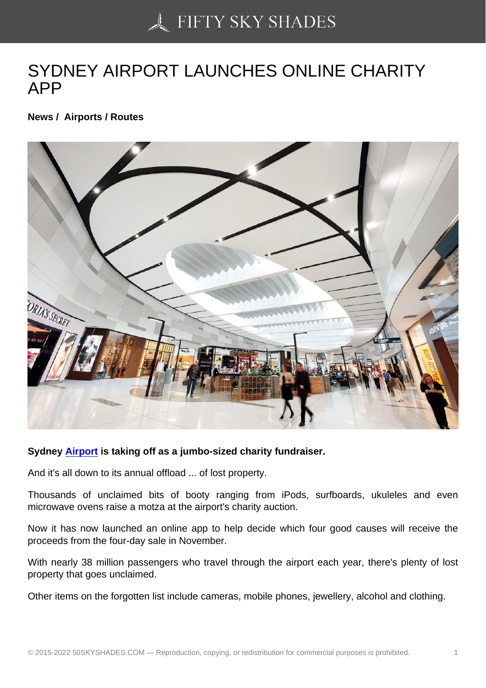## [SYDNEY AIRPORT LA](https://50skyshades.com)UNCHES ONLINE CHARITY APP

News / Airports / Routes

Sydney Airport is taking off as a jumbo-sized charity fundraiser.

And it's all down to its annual offload ... of lost property.

Thousa[nds of u](http://www.wcarn.com/list/ztlist_12_1.html)nclaimed bits of booty ranging from iPods, surfboards, ukuleles and even microwave ovens raise a motza at the airport's charity auction.

Now it has now launched an online app to help decide which four good causes will receive the proceeds from the four-day sale in November.

With nearly 38 million passengers who travel through the airport each year, there's plenty of lost property that goes unclaimed.

Other items on the forgotten list include cameras, mobile phones, jewellery, alcohol and clothing.